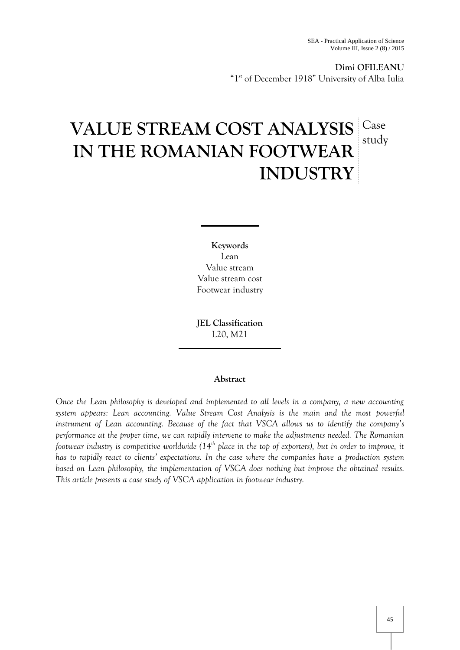## **Dimi OFILEANU**

"1<sup>st</sup> of December 1918" University of Alba Iulia

# **VALUE STREAM COST ANALYSIS IN THE ROMANIAN FOOTWEAR INDUSTRY** Case study

**Keywords** Lean Value stream Value stream cost Footwear industry

**JEL Classification** L20, M21

## **Abstract**

*Once the Lean philosophy is developed and implemented to all levels in a company, a new accounting system appears: Lean accounting. Value Stream Cost Analysis is the main and the most powerful instrument of Lean accounting. Because of the fact that VSCA allows us to identify the company's performance at the proper time, we can rapidly intervene to make the adjustments needed. The Romanian footwear industry is competitive worldwide (14th place in the top of exporters), but in order to improve, it has to rapidly react to clients' expectations. In the case where the companies have a production system based on Lean philosophy, the implementation of VSCA does nothing but improve the obtained results. This article presents a case study of VSCA application in footwear industry.*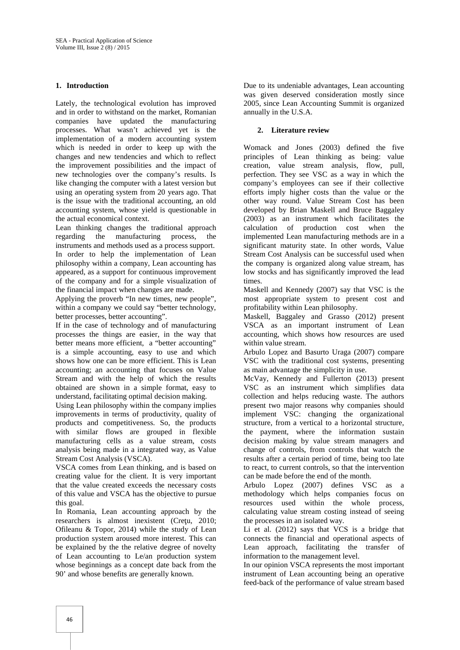## **1. Introduction**

Lately, the technological evolution has improved and in order to withstand on the market, Romanian companies have updated the manufacturing processes. What wasn't achieved yet is the implementation of a modern accounting system which is needed in order to keep up with the changes and new tendencies and which to reflect the improvement possibilities and the impact of new technologies over the company's results. Is like changing the computer with a latest version but using an operating system from 20 years ago. That is the issue with the traditional accounting, an old accounting system, whose yield is questionable in the actual economical context.

Lean thinking changes the traditional approach regarding the manufacturing process, the instruments and methods used as a process support. In order to help the implementation of Lean philosophy within a company, Lean accounting has appeared, as a support for continuous improvement of the company and for a simple visualization of the financial impact when changes are made.

Applying the proverb "In new times, new people", within a company we could say "better technology, better processes, better accounting".

If in the case of technology and of manufacturing processes the things are easier, in the way that better means more efficient, a "better accounting" is a simple accounting, easy to use and which shows how one can be more efficient. This is Lean accounting; an accounting that focuses on Value Stream and with the help of which the results obtained are shown in a simple format, easy to understand, facilitating optimal decision making.

Using Lean philosophy within the company implies improvements in terms of productivity, quality of products and competitiveness. So, the products with similar flows are grouped in flexible manufacturing cells as a value stream, costs analysis being made in a integrated way, as Value Stream Cost Analysis (VSCA).

VSCA comes from Lean thinking, and is based on creating value for the client. It is very important that the value created exceeds the necessary costs of this value and VSCA has the objective to pursue this goal.

In Romania, Lean accounting approach by the researchers is almost inexistent (Cre u, 2010; Ofileanu & Topor, 2014) while the study of Lean production system aroused more interest. This can be explained by the the relative degree of novelty of Lean accounting to Le/an production system whose beginnings as a concept date back from the 90' and whose benefits are generally known.

Due to its undeniable advantages, Lean accounting was given deserved consideration mostly since 2005, since Lean Accounting Summit is organized annually in the U.S.A.

## **2. Literature review**

Womack and Jones (2003) defined the five principles of Lean thinking as being: value creation, value stream analysis, flow, pull, perfection. They see VSC as a way in which the company's employees can see if their collective efforts imply higher costs than the value or the other way round. Value Stream Cost has been developed by Brian Maskell and Bruce Baggaley (2003) as an instrument which facilitates the calculation of production cost when the implemented Lean manufacturing methods are in a significant maturity state. In other words, Value Stream Cost Analysis can be successful used when the company is organized along value stream, has low stocks and has significantly improved the lead times.

Maskell and Kennedy (2007) say that VSC is the most appropriate system to present cost and profitability within Lean philosophy.

Maskell, Baggaley and Grasso (2012) present VSCA as an important instrument of Lean accounting, which shows how resources are used within value stream.

Arbulo Lopez and Basurto Uraga (2007) compare VSC with the traditional cost systems, presenting as main advantage the simplicity in use.

McVay, Kennedy and Fullerton (2013) present VSC as an instrument which simplifies data collection and helps reducing waste. The authors present two major reasons why companies should implement VSC: changing the organizational structure, from a vertical to a horizontal structure, the payment, where the information sustain decision making by value stream managers and change of controls, from controls that watch the results after a certain period of time, being too late to react, to current controls, so that the intervention can be made before the end of the month.

Arbulo Lopez (2007) defines VSC as a methodology which helps companies focus on resources used within the whole process, calculating value stream costing instead of seeing the processes in an isolated way.

Li et al. (2012) says that VCS is a bridge that connects the financial and operational aspects of Lean approach, facilitating the transfer of information to the management level.

In our opinion VSCA represents the most important instrument of Lean accounting being an operative feed-back of the performance of value stream based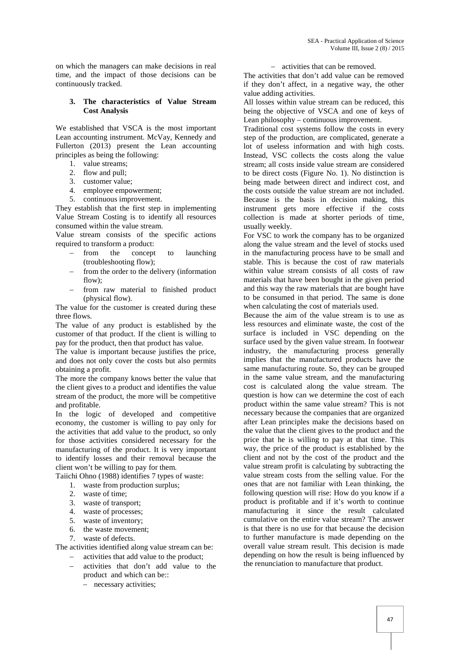on which the managers can make decisions in real time, and the impact of those decisions can be continuously tracked.

## **3. The characteristics of Value Stream Cost Analysis**

We established that VSCA is the most important Lean accounting instrument. McVay, Kennedy and Fullerton (2013) present the Lean accounting principles as being the following:

- 1. value streams;
- 2. flow and pull;
- 3. customer value;
- 4. employee empowerment;
- 5. continuous improvement.

They establish that the first step in implementing Value Stream Costing is to identify all resources consumed within the value stream.

Value stream consists of the specific actions required to transform a product:

- from the concept to launching (troubleshooting flow);
- from the order to the delivery (information flow);
- from raw material to finished product (physical flow).

The value for the customer is created during these three flows.

The value of any product is established by the customer of that product. If the client is willing to pay for the product, then that product has value.

The value is important because justifies the price, and does not only cover the costs but also permits obtaining a profit.

The more the company knows better the value that the client gives to a product and identifies the value stream of the product, the more will be competitive and profitable.

In the logic of developed and competitive economy, the customer is willing to pay only for the activities that add value to the product, so only for those activities considered necessary for the manufacturing of the product. It is very important to identify losses and their removal because the client won't be willing to pay for them.

Taiichi Ohno (1988) identifies 7 types of waste:

- 1. waste from production surplus;
- 2. waste of time;
- 3. waste of transport;
- 4. waste of processes;
- 5. waste of inventory;
- 6. the waste movement;
- 7. waste of defects.

The activities identified along value stream can be:

- activities that add value to the product;
- activities that don't add value to the product and which can be::
	- necessary activities;

#### - activities that can be removed.

The activities that don't add value can be removed if they don't affect, in a negative way, the other value adding activities.

All losses within value stream can be reduced, this being the objective of VSCA and one of keys of Lean philosophy – continuous improvement.

Traditional cost systems follow the costs in every step of the production, are complicated, generate a lot of useless information and with high costs. Instead, VSC collects the costs along the value stream; all costs inside value stream are considered to be direct costs (Figure No. 1). No distinction is being made between direct and indirect cost, and the costs outside the value stream are not included. Because is the basis in decision making, this instrument gets more effective if the costs collection is made at shorter periods of time, usually weekly.

For VSC to work the company has to be organized along the value stream and the level of stocks used in the manufacturing process have to be small and stable. This is because the cost of raw materials within value stream consists of all costs of raw materials that have been bought in the given period and this way the raw materials that are bought have to be consumed in that period. The same is done when calculating the cost of materials used.

Because the aim of the value stream is to use as less resources and eliminate waste, the cost of the surface is included in VSC depending on the surface used by the given value stream. In footwear industry, the manufacturing process generally implies that the manufactured products have the same manufacturing route. So, they can be grouped in the same value stream, and the manufacturing cost is calculated along the value stream. The question is how can we determine the cost of each product within the same value stream? This is not necessary because the companies that are organized after Lean principles make the decisions based on the value that the client gives to the product and the price that he is willing to pay at that time. This way, the price of the product is established by the client and not by the cost of the product and the value stream profit is calculating by subtracting the value stream costs from the selling value. For the ones that are not familiar with Lean thinking, the following question will rise: How do you know if a product is profitable and if it's worth to continue manufacturing it since the result calculated cumulative on the entire value stream? The answer is that there is no use for that because the decision to further manufacture is made depending on the overall value stream result. This decision is made depending on how the result is being influenced by the renunciation to manufacture that product.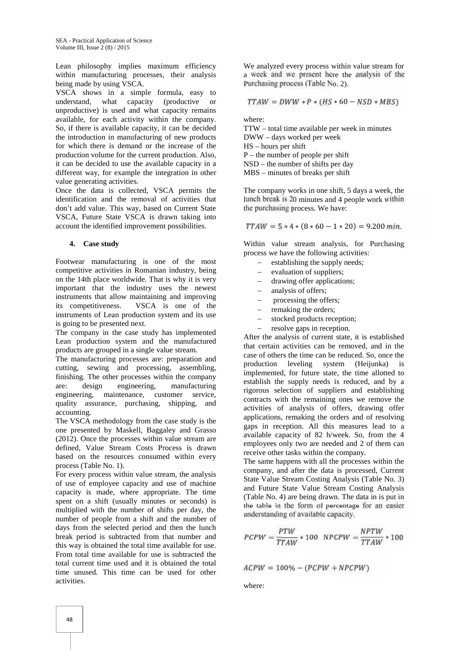Lean philosophy implies maximum efficiency within manufacturing processes, their analysis being made by using VSCA.

VSCA shows in a simple formula, easy to understand, what capacity (productive or unproductive) is used and what capacity remains available, for each activity within the company. So, if there is available capacity, it can be decided the introduction in manufacturing of new products for which there is demand or the increase of the production volume for the current production. Also, it can be decided to use the available capacity in a different way, for example the integration in other value generating activities.

Once the data is collected, VSCA permits the identification and the removal of activities that don't add value. This way, based on Current State VSCA, Future State VSCA is drawn taking into account the identified improvement possibilities.

## **4. Case study**

Footwear manufacturing is one of the most competitive activities in Romanian industry, being on the 14th place worldwide. That is why it is very important that the industry uses the newest instruments that allow maintaining and improving its competitiveness. VSCA is one of the instruments of Lean production system and its use is going to be presented next.

The company in the case study has implemented Lean production system and the manufactured products are grouped in a single value stream.

The manufacturing processes are: preparation and cutting, sewing and processing, assembling, finishing. The other processes within the company are: design engineering, manufacturing engineering, maintenance, customer service, quality assurance, purchasing, shipping, and accounting.

The VSCA methodology from the case study is the one presented by Maskell, Baggaley and Grasso (2012). Once the processes within value stream are defined, Value Stream Costs Process is drawn based on the resources consumed within every process (Table No. 1).

For every process within value stream, the analysis of use of employee capacity and use of machine capacity is made, where appropriate. The time spent on a shift (usually minutes or seconds) is multiplied with the number of shifts per day, the number of people from a shift and the number of days from the selected period and then the lunch break period is subtracted from that number and this way is obtained the total time available for use. From total time available for use is subtracted the total current time used and it is obtained the total time unused. This time can be used for other activities.

We analyzed every process within value stream for a week and we present here the analysis of the Purchasing process (Table No. 2).

$$
TTAW = DWW * P * (HS * 60 - NSD * MBS)
$$

where:

TTW – total time available per week in minutes DWW – days worked per week HS – hours per shift  $P$  – the number of people per shift NSD – the number of shifts per day MBS – minutes of breaks per shift

The company works in one shift, 5 days a week, the lunch break is 20 minutes and 4 people work within the purchasing process. We have:

 $TTAW = 5 * 4 * (8 * 60 - 1 * 20) = 9.200$  min.

Within value stream analysis, for Purchasing process we have the following activities:

- establishing the supply needs;
- evaluation of suppliers;
- drawing offer applications;
- analysis of offers;
- processing the offers;
- remaking the orders;
- stocked products reception;
- resolve gaps in reception.

After the analysis of current state, it is established that certain activities can be removed, and in the case of others the time can be reduced. So, once the production leveling system (Heijunka) is implemented, for future state, the time allotted to establish the supply needs is reduced, and by a rigorous selection of suppliers and establishing contracts with the remaining ones we remove the activities of analysis of offers, drawing offer applications, remaking the orders and of resolving gaps in reception. All this measures lead to a available capacity of 82 h/week. So, from the 4 employees only two are needed and 2 of them can receive other tasks within the company.

The same happens with all the processes within the company, and after the data is processed, Current State Value Stream Costing Analysis (Table No. 3) and Future State Value Stream Costing Analysis (Table No. 4) are being drawn. The data in is put in the table in the form of percentage for an easier understanding of available capacity.

$$
PCPW = \frac{PTW}{TTAW} * 100 \quad NECPW = \frac{NPTW}{TTAW} * 100
$$

$$
ACPW = 100\% - (PCPW + NPCPW)
$$

where: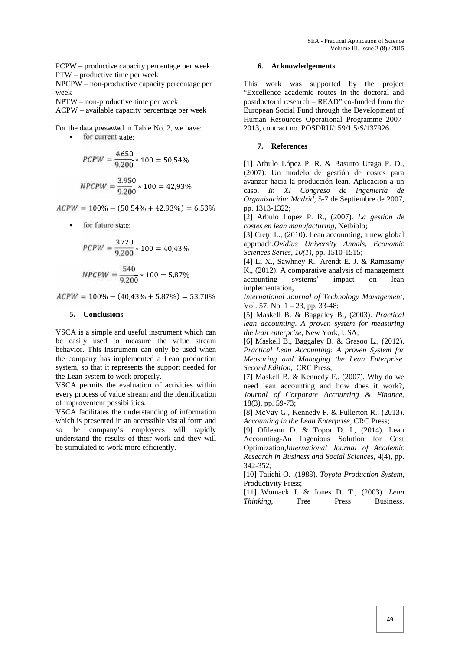PCPW – productive capacity percentage per week PTW – productive time per week

NPCPW – non-productive capacity percentage per week

NPTW – non-productive time per week

ACPW – available capacity percentage per week

For the data presented in Table No. 2, we have:

**for current state:** 

$$
PCPW = \frac{4.650}{9.200} * 100 = 50,54\%
$$
  
NPCPW =  $\frac{3.950}{9.200} * 100 = 42,93\%$ 

 $ACPW = 100\% - (50,54\% + 42,93\%) = 6,53\%$ 

for future state:

$$
PCPW = \frac{3.720}{9.200} * 100 = 40,43\%
$$

$$
NPCPW = \frac{540}{9.200} * 100 = 5,87\%
$$

 $ACPW = 100\% - (40,43\% + 5,87\%) = 53,70\%$ 

#### **5. Conclusions**

VSCA is a simple and useful instrument which can be easily used to measure the value stream behavior. This instrument can only be used when the company has implemented a Lean production system, so that it represents the support needed for the Lean system to work properly.

VSCA permits the evaluation of activities within every process of value stream and the identification of improvement possibilities.

VSCA facilitates the understanding of information which is presented in an accessible visual form and so the company's employees will rapidly understand the results of their work and they will be stimulated to work more efficiently.

#### **6. Acknowledgements**

This work was supported by the project "Excellence academic routes in the doctoral and postdoctoral research – READ" co-funded from the European Social Fund through the Development of Human Resources Operational Programme 2007- 2013, contract no. POSDRU/159/1.5/S/137926.

#### **7. References**

[1] Arbulo López P. R. & Basurto Uraga P. D., (2007). Un modelo de gestión de costes para avanzar hacia la producción lean. Aplicación a un caso. *In XI Congreso de Ingeniería de Organización: Madrid*, 5-7 de Septiembre de 2007, pp. 1313-1322;

[2] Arbulo Lopez P. R., (2007). *La gestion de costes en lean manufacturing*, Netbiblo;

[3] Cre u L.,  $(2010)$ . Lean accounting, a new global approach,*Ovidius University Annals, Economic Sciences Series*, *10(1)*, pp. 1510-1515;

[4] Li X., Sawhney R., Arendt E. J. & Ramasamy K., (2012). A comparative analysis of management accounting systems' impact on lean implementation,

*International Journal of Technology Management*, Vol. 57, No. 1 – 23, pp. 33-48;

[5] Maskell B. & Baggaley B., (2003). *Practical lean accounting. A proven system for measuring the lean enterprise*, New York, USA;

[6] Maskell B., Baggaley B. & Grasoo L., (2012). *Practical Lean Accounting: A proven System for Measuring and Managing the Lean Enterprise. Second Edition*, CRC Press;

[7] Maskell B. & Kennedy F., (2007). Why do we need lean accounting and how does it work?, *Journal of Corporate Accounting & Finance*, 18(3), pp. 59-73;

[8] McVay G., Kennedy F. & Fullerton R., (2013). *Accounting in the Lean Enterprise*, CRC Press;

[9] Ofileanu D. & Topor D. I., (2014). Lean Accounting-An Ingenious Solution for Cost Optimization,*International Journal of Academic Research in Business and Social Sciences*, 4(4), pp. 342-352;

[10] Taiichi O. ,(1988). *Toyota Production System*, Productivity Press;

[11] Womack J. & Jones D. T., (2003). *Lean Thinking*, Free Press Business.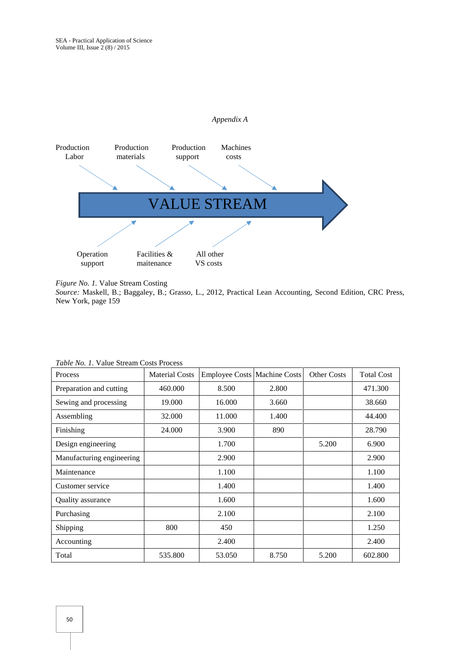

*Figure No. 1.* Value Stream Costing

*Source:* Maskell, B.; Baggaley, B.; Grasso, L., 2012, Practical Lean Accounting, Second Edition, CRC Press, New York, page 159

| Process                   | <b>Material Costs</b> | <b>Employee Costs Machine Costs</b> |       | <b>Other Costs</b> | <b>Total Cost</b> |
|---------------------------|-----------------------|-------------------------------------|-------|--------------------|-------------------|
| Preparation and cutting   | 460.000               | 8.500                               | 2.800 |                    | 471.300           |
| Sewing and processing     | 19.000                | 16.000                              | 3.660 |                    | 38.660            |
| Assembling                | 32.000                | 11.000                              | 1.400 |                    | 44.400            |
| Finishing                 | 24.000                | 3.900                               | 890   |                    | 28.790            |
| Design engineering        |                       | 1.700                               |       | 5.200              | 6.900             |
| Manufacturing engineering |                       | 2.900                               |       |                    | 2.900             |
| Maintenance               |                       | 1.100                               |       |                    | 1.100             |
| Customer service          |                       | 1.400                               |       |                    | 1.400             |
| Quality assurance         |                       | 1.600                               |       |                    | 1.600             |
| Purchasing                |                       | 2.100                               |       |                    | 2.100             |
| Shipping                  | 800                   | 450                                 |       |                    | 1.250             |
| Accounting                |                       | 2.400                               |       |                    | 2.400             |
| Total                     | 535.800               | 53.050                              | 8.750 | 5.200              | 602.800           |

*Table No. 1.* Value Stream Costs Process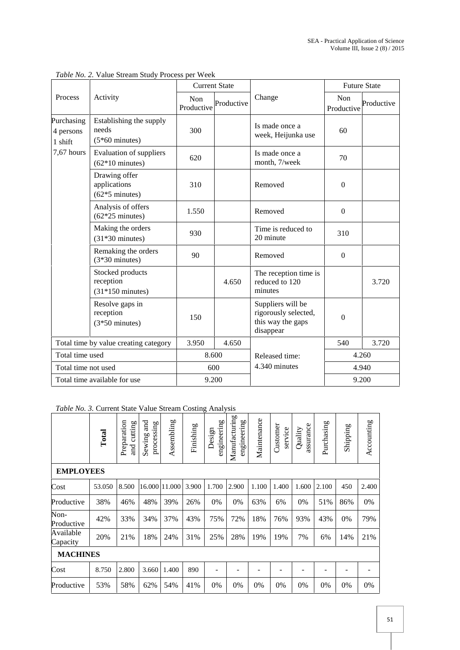|                                       |                                                             | <b>Current State</b>            |       |                                                                             | <b>Future State</b> |            |  |  |
|---------------------------------------|-------------------------------------------------------------|---------------------------------|-------|-----------------------------------------------------------------------------|---------------------|------------|--|--|
| Process                               | Activity                                                    | Non<br>Productive<br>Productive |       | Change                                                                      | Non<br>Productive   | Productive |  |  |
| Purchasing<br>4 persons<br>1 shift    | Establishing the supply<br>needs<br>$(5*60$ minutes)        | 300                             |       | Is made once a<br>week, Heijunka use                                        | 60                  |            |  |  |
| 7,67 hours                            | <b>Evaluation of suppliers</b><br>$(62*10 \text{ minutes})$ | 620                             |       | Is made once a<br>month, 7/week                                             | 70                  |            |  |  |
|                                       | Drawing offer<br>applications<br>$(62*5$ minutes)           | 310                             |       | Removed                                                                     | $\Omega$            |            |  |  |
|                                       | Analysis of offers<br>$(62*25 \text{ minutes})$             | 1.550                           |       | Removed                                                                     | $\boldsymbol{0}$    |            |  |  |
|                                       | Making the orders<br>$(31*30 \text{ minutes})$              | 930                             |       | Time is reduced to<br>20 minute                                             | 310                 |            |  |  |
|                                       | Remaking the orders<br>$(3*30 \text{ minutes})$             | 90                              |       | Removed                                                                     | $\overline{0}$      |            |  |  |
|                                       | Stocked products<br>reception<br>$(31*150 \text{ minutes})$ |                                 | 4.650 | The reception time is<br>reduced to 120<br>minutes                          |                     | 3.720      |  |  |
|                                       | Resolve gaps in<br>reception<br>$(3*50$ minutes)            | 150                             |       | Suppliers will be<br>rigorously selected,<br>this way the gaps<br>disappear | $\boldsymbol{0}$    |            |  |  |
| Total time by value creating category |                                                             | 3.950<br>4.650                  |       |                                                                             | 540                 | 3.720      |  |  |
| Total time used                       |                                                             | 8.600                           |       | Released time:                                                              | 4.260               |            |  |  |
| Total time not used                   |                                                             | 600                             |       | 4.340 minutes                                                               | 4.940               |            |  |  |
|                                       | Total time available for use                                | 9.200                           |       |                                                                             | 9.200               |            |  |  |

*Table No. 2.* Value Stream Study Process per Week

*Table No. 3.* Current State Value Stream Costing Analysis

|                       | Total  | Preparation<br>cutting<br>$\overline{a}$ | and<br>processing<br>Sewing | Assembling | Finishing | engineering<br>Design | Manufacturing<br>engineering | Maintenance | Customer<br>service | assurance<br>Quality | Purchasing | Shipping | Accounting |
|-----------------------|--------|------------------------------------------|-----------------------------|------------|-----------|-----------------------|------------------------------|-------------|---------------------|----------------------|------------|----------|------------|
| <b>EMPLOYEES</b>      |        |                                          |                             |            |           |                       |                              |             |                     |                      |            |          |            |
| Cost                  | 53.050 | 8.500                                    | 16.000 11.000               |            | 3.900     | 1.700                 | 2.900                        | 1.100       | 1.400               | 1.600                | 2.100      | 450      | 2.400      |
| Productive            | 38%    | 46%                                      | 48%                         | 39%        | 26%       | 0%                    | 0%                           | 63%         | 6%                  | 0%                   | 51%        | 86%      | 0%         |
| Non-<br>Productive    | 42%    | 33%                                      | 34%                         | 37%        | 43%       | 75%                   | 72%                          | 18%         | 76%                 | 93%                  | 43%        | 0%       | 79%        |
| Available<br>Capacity | 20%    | 21%                                      | 18%                         | 24%        | 31%       | 25%                   | 28%                          | 19%         | 19%                 | 7%                   | 6%         | 14%      | 21%        |
| <b>MACHINES</b>       |        |                                          |                             |            |           |                       |                              |             |                     |                      |            |          |            |
| Cost                  | 8.750  | 2.800                                    | 3.660                       | 1.400      | 890       |                       |                              |             |                     |                      |            | -        |            |
| Productive            | 53%    | 58%                                      | 62%                         | 54%        | 41%       | 0%                    | 0%                           | 0%          | 0%                  | 0%                   | 0%         | 0%       | 0%         |

Ξ